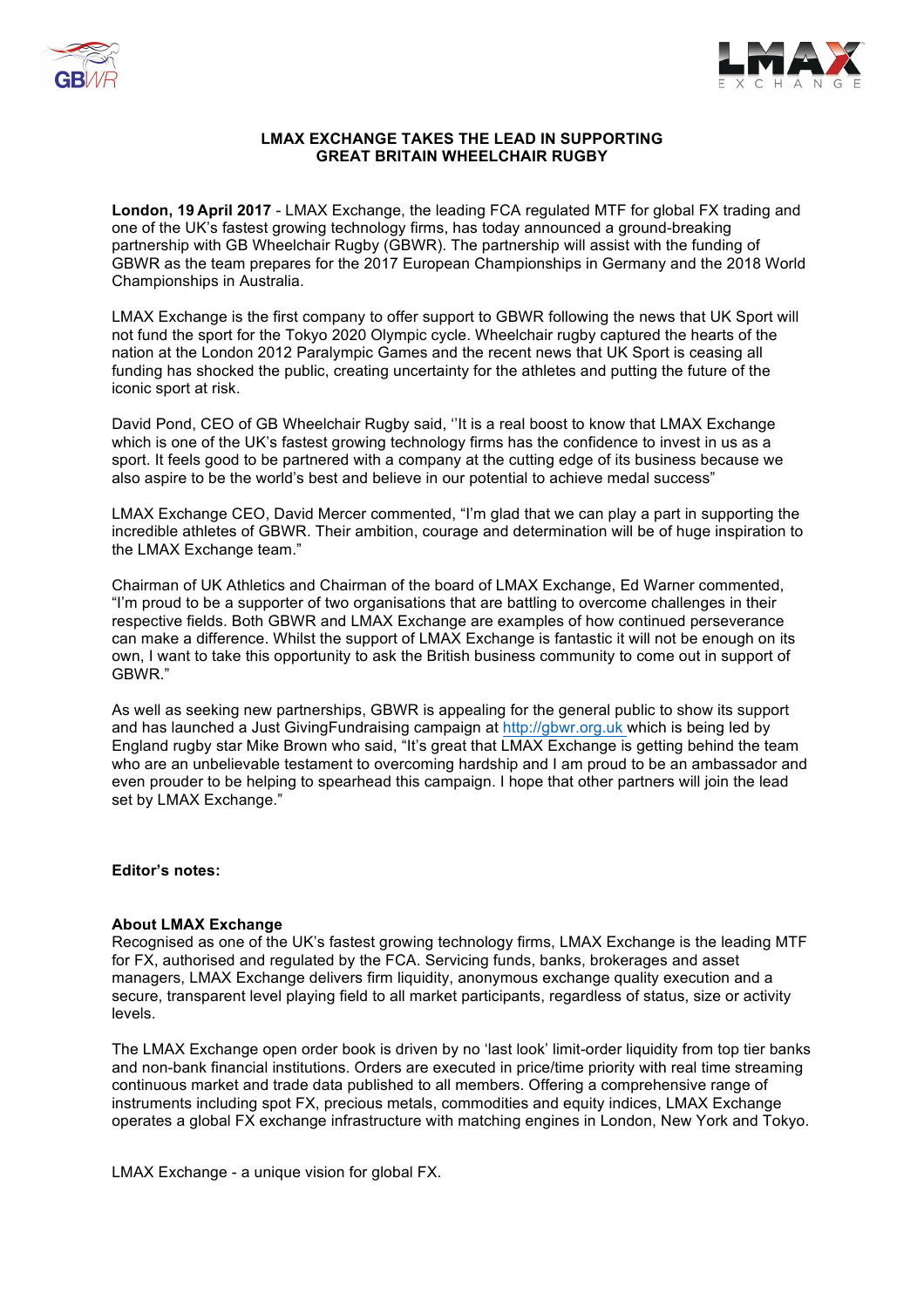



# **LMAX EXCHANGE TAKES THE LEAD IN SUPPORTING GREAT BRITAIN WHEELCHAIR RUGBY**

**London, 19 April 2017** - LMAX Exchange, the leading FCA regulated MTF for global FX trading and one of the UK's fastest growing technology firms, has today announced a ground-breaking partnership with GB Wheelchair Rugby (GBWR). The partnership will assist with the funding of GBWR as the team prepares for the 2017 European Championships in Germany and the 2018 World Championships in Australia.

LMAX Exchange is the first company to offer support to GBWR following the news that UK Sport will not fund the sport for the Tokyo 2020 Olympic cycle. Wheelchair rugby captured the hearts of the nation at the London 2012 Paralympic Games and the recent news that UK Sport is ceasing all funding has shocked the public, creating uncertainty for the athletes and putting the future of the iconic sport at risk.

David Pond, CEO of GB Wheelchair Rugby said, ''It is a real boost to know that LMAX Exchange which is one of the UK's fastest growing technology firms has the confidence to invest in us as a sport. It feels good to be partnered with a company at the cutting edge of its business because we also aspire to be the world's best and believe in our potential to achieve medal success"

LMAX Exchange CEO, David Mercer commented, "I'm glad that we can play a part in supporting the incredible athletes of GBWR. Their ambition, courage and determination will be of huge inspiration to the LMAX Exchange team."

Chairman of UK Athletics and Chairman of the board of LMAX Exchange, Ed Warner commented, "I'm proud to be a supporter of two organisations that are battling to overcome challenges in their respective fields. Both GBWR and LMAX Exchange are examples of how continued perseverance can make a difference. Whilst the support of LMAX Exchange is fantastic it will not be enough on its own, I want to take this opportunity to ask the British business community to come out in support of GBWR."

As well as seeking new partnerships, GBWR is appealing for the general public to show its support and has launched a Just GivingFundraising campaign at http://gbwr.org.uk which is being led by England rugby star Mike Brown who said, "It's great that LMAX Exchange is getting behind the team who are an unbelievable testament to overcoming hardship and I am proud to be an ambassador and even prouder to be helping to spearhead this campaign. I hope that other partners will join the lead set by LMAX Exchange."

## **Editor's notes:**

## **About LMAX Exchange**

Recognised as one of the UK's fastest growing technology firms, LMAX Exchange is the leading MTF for FX, authorised and regulated by the FCA. Servicing funds, banks, brokerages and asset managers, LMAX Exchange delivers firm liquidity, anonymous exchange quality execution and a secure, transparent level playing field to all market participants, regardless of status, size or activity levels.

The LMAX Exchange open order book is driven by no 'last look' limit-order liquidity from top tier banks and non-bank financial institutions. Orders are executed in price/time priority with real time streaming continuous market and trade data published to all members. Offering a comprehensive range of instruments including spot FX, precious metals, commodities and equity indices, LMAX Exchange operates a global FX exchange infrastructure with matching engines in London, New York and Tokyo.

LMAX Exchange - a unique vision for global FX.